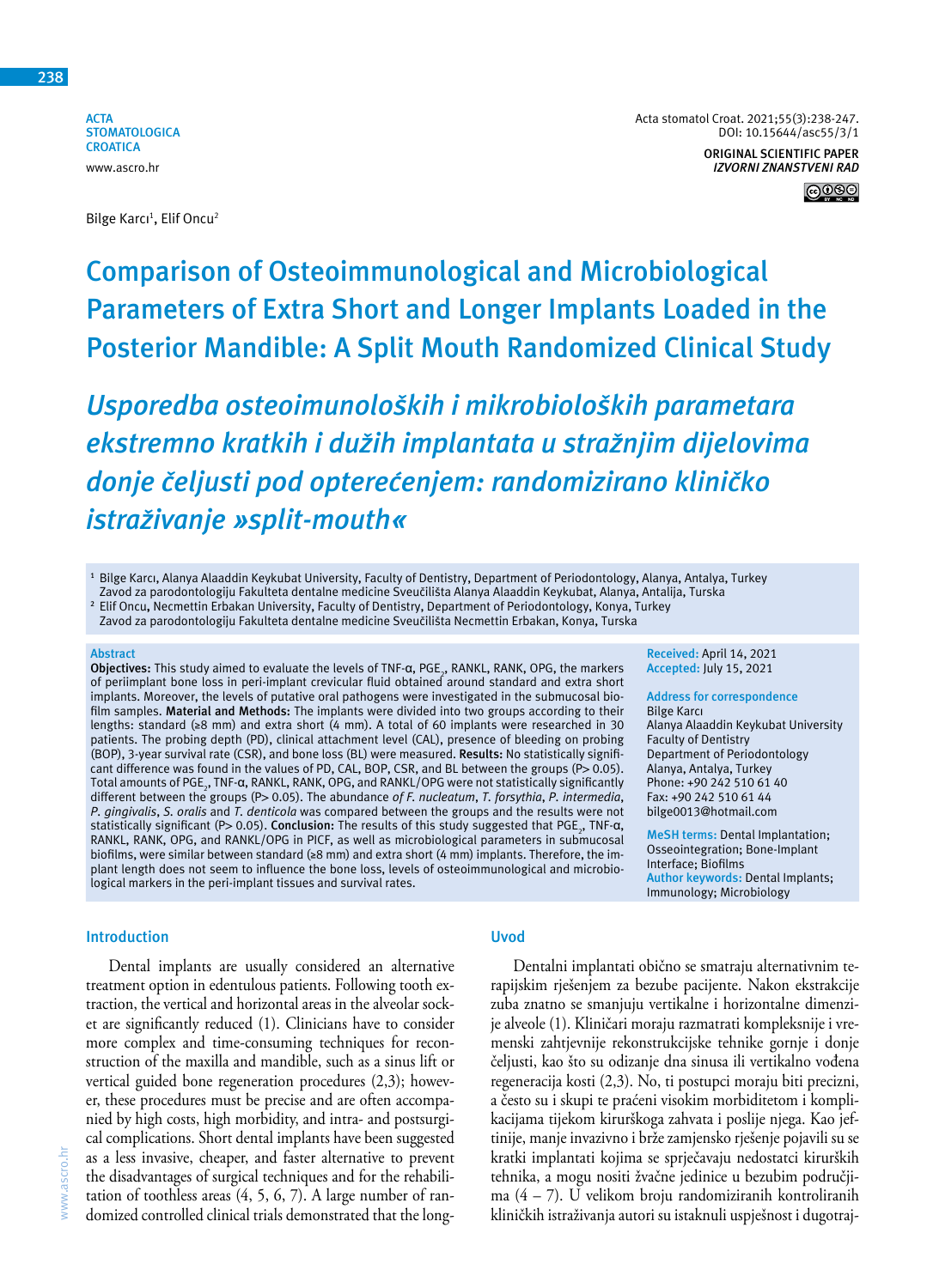**ACTA STOMATOLOGICA CROATICA** www.ascro.hr

Bilge Karcı<sup>1</sup>, Elif Oncu<sup>2</sup>



**Comparison of Osteoimmunological and Microbiological Parameters of Extra Short and Longer Implants Loaded in the Posterior Mandible: A Split Mouth Randomized Clinical Study**

*Usporedba osteoimunoloških i mikrobioloških parametara ekstremno kratkih i dužih implantata u stražnjim dijelovima donje čeljusti pod opterećenjem: randomizirano kliničko istraživanje »split-mouth«*

**<sup>1</sup>** Bilge Karcı, Alanya Alaaddin Keykubat University, Faculty of Dentistry, Department of Periodontology, Alanya, Antalya, Turkey

Zavod za parodontologiju Fakulteta dentalne medicine Sveučilišta Alanya Alaaddin Keykubat, Alanya, Antalija, Turska

**<sup>2</sup>** Elif Oncu**,** Necmettin Erbakan University, Faculty of Dentistry, Department of Periodontology, Konya, Turkey

Zavod za parodontologiju Fakulteta dentalne medicine Sveučilišta Necmettin Erbakan, Konya, Turska

#### **Abstract**

**Objectives:** This study aimed to evaluate the levels of TNF-α, PGE<sub>2</sub>, RANKL, RANK, OPG, the markers of periimplant bone loss in peri-implant crevicular fluid obtained around standard and extra short implants. Moreover, the levels of putative oral pathogens were investigated in the submucosal biofilm samples. **Material and Methods:** The implants were divided into two groups according to their lengths: standard (≥8 mm) and extra short (4 mm). A total of 60 implants were researched in 30 patients. The probing depth (PD), clinical attachment level (CAL), presence of bleeding on probing (BOP), 3-year survival rate (CSR), and bone loss (BL) were measured. **Results:** No statistically significant difference was found in the values of PD, CAL, BOP, CSR, and BL between the groups ( $P> 0.05$ ). Total amounts of PGE<sub>2</sub>, TNF-α, RANKL, RANK, OPG, and RANKL/OPG were not statistically significantly different between the groups (P> 0.05). The abundance *of F. nucleatum*, *T. forsythia*, *P. intermedia*, *P. gingivalis*, *S. oralis* and *T. denticola* was compared between the groups and the results were not statistically significant (P> 0.05). **Conclusion:** The results of this study suggested that PGE<sub>2</sub>, TNF-α, RANKL, RANK, OPG, and RANKL/OPG in PICF, as well as microbiological parameters in submucosal biofilms, were similar between standard (≥8 mm) and extra short (4 mm) implants. Therefore, the implant length does not seem to influence the bone loss, levels of osteoimmunological and microbiological markers in the peri-implant tissues and survival rates.

#### **Introduction**

Dental implants are usually considered an alternative treatment option in edentulous patients. Following tooth extraction, the vertical and horizontal areas in the alveolar socket are significantly reduced (1). Clinicians have to consider more complex and time-consuming techniques for reconstruction of the maxilla and mandible, such as a sinus lift or vertical guided bone regeneration procedures (2,3); however, these procedures must be precise and are often accompanied by high costs, high morbidity, and intra- and postsurgical complications. Short dental implants have been suggested as a less invasive, cheaper, and faster alternative to prevent the disadvantages of surgical techniques and for the rehabilitation of toothless areas (4, 5, 6, 7). A large number of randomized controlled clinical trials demonstrated that the long-

# **Uvod**

Dentalni implantati obično se smatraju alternativnim terapijskim rješenjem za bezube pacijente. Nakon ekstrakcije zuba znatno se smanjuju vertikalne i horizontalne dimenzije alveole (1). Kliničari moraju razmatrati kompleksnije i vremenski zahtjevnije rekonstrukcijske tehnike gornje i donje čeljusti, kao što su odizanje dna sinusa ili vertikalno vođena regeneracija kosti (2,3). No, ti postupci moraju biti precizni, a često su i skupi te praćeni visokim morbiditetom i komplikacijama tijekom kirurškoga zahvata i poslije njega. Kao jeftinije, manje invazivno i brže zamjensko rješenje pojavili su se kratki implantati kojima se sprječavaju nedostatci kirurških tehnika, a mogu nositi žvačne jedinice u bezubim područjima (4 – 7). U velikom broju randomiziranih kontroliranih kliničkih istraživanja autori su istaknuli uspješnost i dugotraj-

**Received:** April 14, 2021 **Accepted:** July 15, 2021 **Address for correspondence**

Alanya Alaaddin Keykubat University

**MeSH terms:** Dental Implantation; Osseointegration; Bone-Implant

**Author keywords:** Dental Implants; Immunology; Microbiology

Department of Periodontology Alanya, Antalya, Turkey Phone: +90 242 510 61 40 Fax: +90 242 510 61 44 bilge0013@hotmail.com

Bilge Karcı

Faculty of Dentistry

Interface; Biofilms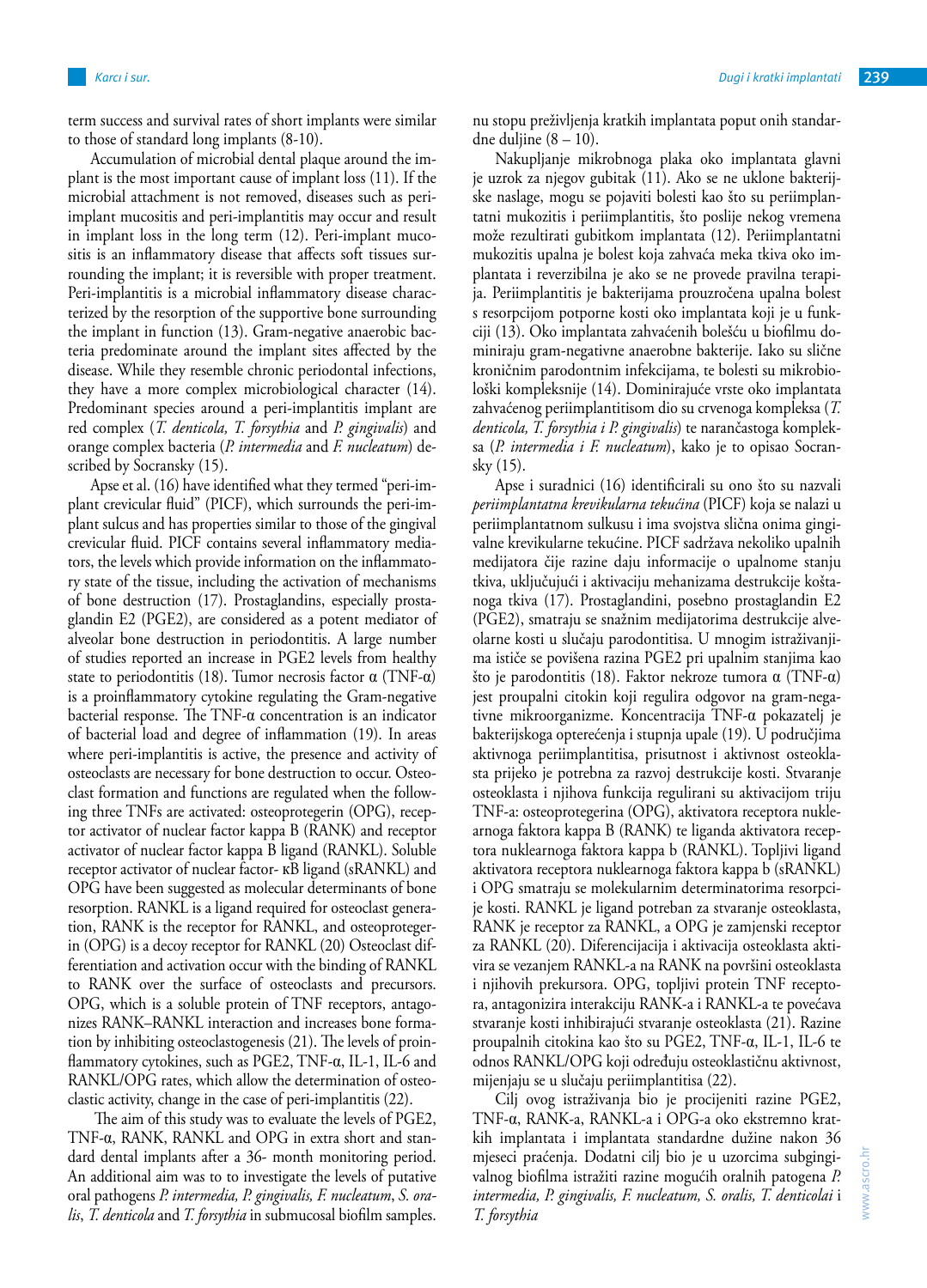term success and survival rates of short implants were similar to those of standard long implants (8-10).

Accumulation of microbial dental plaque around the implant is the most important cause of implant loss (11). If the microbial attachment is not removed, diseases such as periimplant mucositis and peri-implantitis may occur and result in implant loss in the long term (12). Peri-implant mucositis is an inflammatory disease that affects soft tissues surrounding the implant; it is reversible with proper treatment. Peri-implantitis is a microbial inflammatory disease characterized by the resorption of the supportive bone surrounding the implant in function (13). Gram-negative anaerobic bacteria predominate around the implant sites affected by the disease. While they resemble chronic periodontal infections, they have a more complex microbiological character (14). Predominant species around a peri-implantitis implant are red complex (*T. denticola, T. forsythia* and *P. gingivalis*) and orange complex bacteria (*P. intermedia* and *F. nucleatum*) described by Socransky (15).

Apse et al. (16) have identified what they termed "peri-implant crevicular fluid" (PICF), which surrounds the peri-implant sulcus and has properties similar to those of the gingival crevicular fluid. PICF contains several inflammatory mediators, the levels which provide information on the inflammatory state of the tissue, including the activation of mechanisms of bone destruction (17). Prostaglandins, especially prostaglandin E2 (PGE2), are considered as a potent mediator of alveolar bone destruction in periodontitis. A large number of studies reported an increase in PGE2 levels from healthy state to periodontitis (18). Tumor necrosis factor  $\alpha$  (TNF- $\alpha$ ) is a proinflammatory cytokine regulating the Gram-negative bacterial response. The TNF-α concentration is an indicator of bacterial load and degree of inflammation (19). In areas where peri-implantitis is active, the presence and activity of osteoclasts are necessary for bone destruction to occur. Osteoclast formation and functions are regulated when the following three TNFs are activated: osteoprotegerin (OPG), receptor activator of nuclear factor kappa B (RANK) and receptor activator of nuclear factor kappa B ligand (RANKL). Soluble receptor activator of nuclear factor- кB ligand (sRANKL) and OPG have been suggested as molecular determinants of bone resorption. RANKL is a ligand required for osteoclast generation, RANK is the receptor for RANKL, and osteoprotegerin (OPG) is a decoy receptor for RANKL (20) Osteoclast differentiation and activation occur with the binding of RANKL to RANK over the surface of osteoclasts and precursors. OPG, which is a soluble protein of TNF receptors, antagonizes RANK–RANKL interaction and increases bone formation by inhibiting osteoclastogenesis (21). The levels of proinflammatory cytokines, such as PGE2, TNF-α, IL-1, IL-6 and RANKL/OPG rates, which allow the determination of osteoclastic activity, change in the case of peri-implantitis (22).

 The aim of this study was to evaluate the levels of PGE2, TNF-α, RANK, RANKL and OPG in extra short and standard dental implants after a 36- month monitoring period. An additional aim was to to investigate the levels of putative oral pathogens *P. intermedia, P. gingivalis, F. nucleatum*, *S. oralis*, *T. denticola* and *T. forsythia* in submucosal biofilm samples. nu stopu preživljenja kratkih implantata poput onih standardne duljine (8 – 10).

Nakupljanje mikrobnoga plaka oko implantata glavni je uzrok za njegov gubitak (11). Ako se ne uklone bakterijske naslage, mogu se pojaviti bolesti kao što su periimplantatni mukozitis i periimplantitis, što poslije nekog vremena može rezultirati gubitkom implantata (12). Periimplantatni mukozitis upalna je bolest koja zahvaća meka tkiva oko implantata i reverzibilna je ako se ne provede pravilna terapija. Periimplantitis je bakterijama prouzročena upalna bolest s resorpcijom potporne kosti oko implantata koji je u funkciji (13). Oko implantata zahvaćenih bolešću u biofilmu dominiraju gram-negativne anaerobne bakterije. Iako su slične kroničnim parodontnim infekcijama, te bolesti su mikrobiološki kompleksnije (14). Dominirajuće vrste oko implantata zahvaćenog periimplantitisom dio su crvenoga kompleksa (*T. denticola, T. forsythia i P. gingivalis*) te narančastoga kompleksa (*P. intermedia i F. nucleatum*), kako je to opisao Socransky (15).

Apse i suradnici (16) identificirali su ono što su nazvali *periimplantatna krevikularna tekućina* (PICF) koja se nalazi u periimplantatnom sulkusu i ima svojstva slična onima gingivalne krevikularne tekućine. PICF sadržava nekoliko upalnih medijatora čije razine daju informacije o upalnome stanju tkiva, uključujući i aktivaciju mehanizama destrukcije koštanoga tkiva (17). Prostaglandini, posebno prostaglandin E2 (PGE2), smatraju se snažnim medijatorima destrukcije alveolarne kosti u slučaju parodontitisa. U mnogim istraživanjima ističe se povišena razina PGE2 pri upalnim stanjima kao što je parodontitis (18). Faktor nekroze tumora α (TNF-α) jest proupalni citokin koji regulira odgovor na gram-negativne mikroorganizme. Koncentracija TNF-α pokazatelj je bakterijskoga opterećenja i stupnja upale (19). U područjima aktivnoga periimplantitisa, prisutnost i aktivnost osteoklasta prijeko je potrebna za razvoj destrukcije kosti. Stvaranje osteoklasta i njihova funkcija regulirani su aktivacijom triju TNF-a: osteoprotegerina (OPG), aktivatora receptora nuklearnoga faktora kappa B (RANK) te liganda aktivatora receptora nuklearnoga faktora kappa b (RANKL). Topljivi ligand aktivatora receptora nuklearnoga faktora kappa b (sRANKL) i OPG smatraju se molekularnim determinatorima resorpcije kosti. RANKL je ligand potreban za stvaranje osteoklasta, RANK je receptor za RANKL, a OPG je zamjenski receptor za RANKL (20). Diferencijacija i aktivacija osteoklasta aktivira se vezanjem RANKL-a na RANK na površini osteoklasta i njihovih prekursora. OPG, topljivi protein TNF receptora, antagonizira interakciju RANK-a i RANKL-a te povećava stvaranje kosti inhibirajući stvaranje osteoklasta (21). Razine proupalnih citokina kao što su PGE2, TNF-α, IL-1, IL-6 te odnos RANKL/OPG koji određuju osteoklastičnu aktivnost, mijenjaju se u slučaju periimplantitisa (22).

Cilj ovog istraživanja bio je procijeniti razine PGE2, TNF-α, RANK-a, RANKL-a i OPG-a oko ekstremno kratkih implantata i implantata standardne dužine nakon 36 mjeseci praćenja. Dodatni cilj bio je u uzorcima subgingivalnog biofilma istražiti razine mogućih oralnih patogena *P. intermedia, P. gingivalis, F. nucleatum, S. oralis, T. denticolai* i *T. forsythia*

www.ascro.hr

www.ascro.hr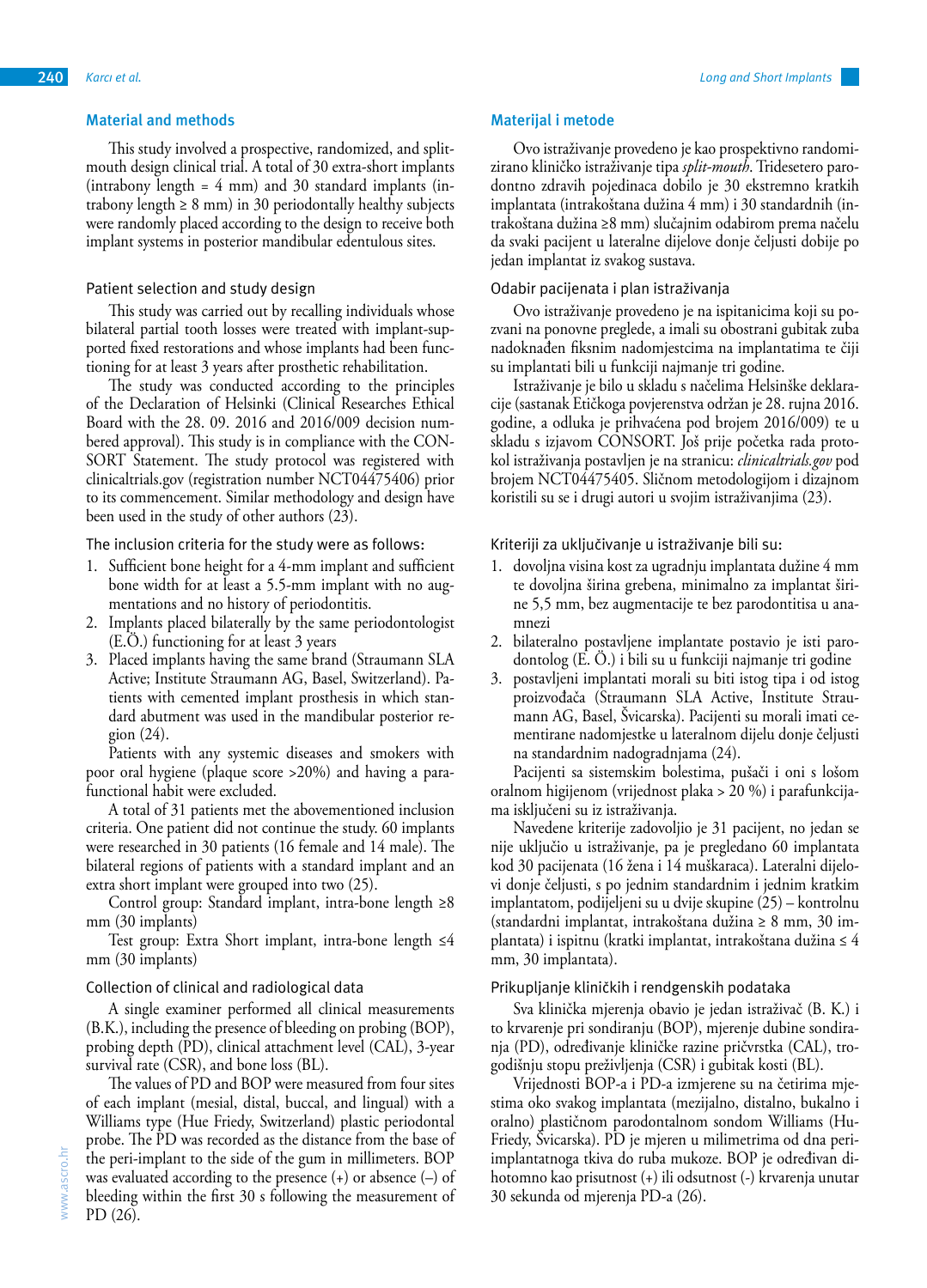This study involved a prospective, randomized, and splitmouth design clinical trial. A total of 30 extra-short implants (intrabony length  $= 4$  mm) and 30 standard implants (intrabony length  $\geq 8$  mm) in 30 periodontally healthy subjects were randomly placed according to the design to receive both implant systems in posterior mandibular edentulous sites.

# Patient selection and study design

This study was carried out by recalling individuals whose bilateral partial tooth losses were treated with implant-supported fixed restorations and whose implants had been functioning for at least 3 years after prosthetic rehabilitation.

The study was conducted according to the principles of the Declaration of Helsinki (Clinical Researches Ethical Board with the 28. 09. 2016 and 2016/009 decision numbered approval). This study is in compliance with the CON-SORT Statement. The study protocol was registered with clinicaltrials.gov (registration number NCT04475406) prior to its commencement. Similar methodology and design have been used in the study of other authors (23).

The inclusion criteria for the study were as follows:

- 1. Sufficient bone height for a 4-mm implant and sufficient bone width for at least a 5.5-mm implant with no augmentations and no history of periodontitis.
- 2. Implants placed bilaterally by the same periodontologist (E.Ö.) functioning for at least 3 years
- 3. Placed implants having the same brand (Straumann SLA Active; Institute Straumann AG, Basel, Switzerland). Patients with cemented implant prosthesis in which standard abutment was used in the mandibular posterior region (24).

Patients with any systemic diseases and smokers with poor oral hygiene (plaque score >20%) and having a parafunctional habit were excluded.

A total of 31 patients met the abovementioned inclusion criteria. One patient did not continue the study. 60 implants were researched in 30 patients (16 female and 14 male). The bilateral regions of patients with a standard implant and an extra short implant were grouped into two (25).

Control group: Standard implant, intra-bone length ≥8 mm (30 implants)

Test group: Extra Short implant, intra-bone length ≤4 mm (30 implants)

### Collection of clinical and radiological data

A single examiner performed all clinical measurements (B.K.), including the presence of bleeding on probing (BOP), probing depth (PD), clinical attachment level (CAL), 3-year survival rate (CSR), and bone loss (BL).

The values of PD and BOP were measured from four sites of each implant (mesial, distal, buccal, and lingual) with a Williams type (Hue Friedy, Switzerland) plastic periodontal probe. The PD was recorded as the distance from the base of the peri-implant to the side of the gum in millimeters. BOP was evaluated according to the presence (+) or absence (–) of bleeding within the first 30 s following the measurement of PD (26).

### **Materijal i metode**

Ovo istraživanje provedeno je kao prospektivno randomizirano kliničko istraživanje tipa *split-mouth*. Tridesetero parodontno zdravih pojedinaca dobilo je 30 ekstremno kratkih implantata (intrakoštana dužina 4 mm) i 30 standardnih (intrakoštana dužina ≥8 mm) slučajnim odabirom prema načelu da svaki pacijent u lateralne dijelove donje čeljusti dobije po jedan implantat iz svakog sustava.

### Odabir pacijenata i plan istraživanja

Ovo istraživanje provedeno je na ispitanicima koji su pozvani na ponovne preglede, a imali su obostrani gubitak zuba nadoknađen fiksnim nadomjestcima na implantatima te čiji su implantati bili u funkciji najmanje tri godine.

Istraživanje je bilo u skladu s načelima Helsinške deklaracije (sastanak Etičkoga povjerenstva održan je 28. rujna 2016. godine, a odluka je prihvaćena pod brojem 2016/009) te u skladu s izjavom CONSORT. Još prije početka rada protokol istraživanja postavljen je na stranicu: *clinicaltrials.gov* pod brojem NCT04475405. Sličnom metodologijom i dizajnom koristili su se i drugi autori u svojim istraživanjima (23).

Kriteriji za uključivanje u istraživanje bili su:

- 1. dovoljna visina kost za ugradnju implantata dužine 4 mm te dovoljna širina grebena, minimalno za implantat širine 5,5 mm, bez augmentacije te bez parodontitisa u anamnezi
- 2. bilateralno postavljene implantate postavio je isti parodontolog (E. Ö.) i bili su u funkciji najmanje tri godine
- 3. postavljeni implantati morali su biti istog tipa i od istog proizvođača (Straumann SLA Active, Institute Straumann AG, Basel, Švicarska). Pacijenti su morali imati cementirane nadomjestke u lateralnom dijelu donje čeljusti na standardnim nadogradnjama (24).

Pacijenti sa sistemskim bolestima, pušači i oni s lošom oralnom higijenom (vrijednost plaka > 20 %) i parafunkcijama isključeni su iz istraživanja.

Navedene kriterije zadovoljio je 31 pacijent, no jedan se nije uključio u istraživanje, pa je pregledano 60 implantata kod 30 pacijenata (16 žena i 14 muškaraca). Lateralni dijelovi donje čeljusti, s po jednim standardnim i jednim kratkim implantatom, podijeljeni su u dvije skupine (25) – kontrolnu (standardni implantat, intrakoštana dužina ≥ 8 mm, 30 implantata) i ispitnu (kratki implantat, intrakoštana dužina ≤ 4 mm, 30 implantata).

### Prikupljanje kliničkih i rendgenskih podataka

Sva klinička mjerenja obavio je jedan istraživač (B. K.) i to krvarenje pri sondiranju (BOP), mjerenje dubine sondiranja (PD), određivanje kliničke razine pričvrstka (CAL), trogodišnju stopu preživljenja (CSR) i gubitak kosti (BL).

Vrijednosti BOP-a i PD-a izmjerene su na četirima mjestima oko svakog implantata (mezijalno, distalno, bukalno i oralno) plastičnom parodontalnom sondom Williams (Hu-Friedy, Švicarska). PD je mjeren u milimetrima od dna periimplantatnoga tkiva do ruba mukoze. BOP je određivan dihotomno kao prisutnost (+) ili odsutnost (-) krvarenja unutar 30 sekunda od mjerenja PD-a (26).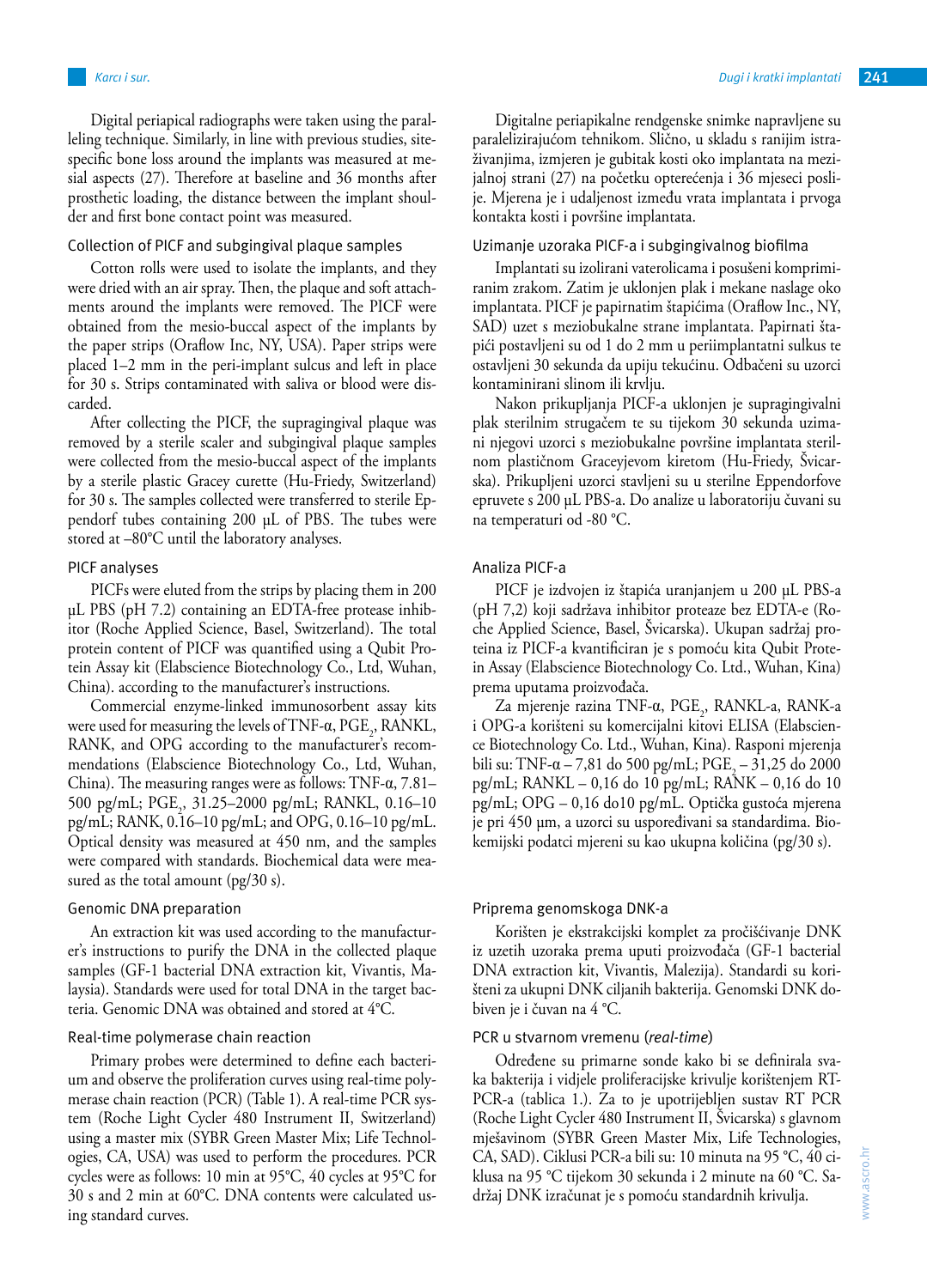*Karcı i sur. Dugi i kratki implantati* **241**

Digital periapical radiographs were taken using the paralleling technique. Similarly, in line with previous studies, sitespecific bone loss around the implants was measured at mesial aspects (27). Therefore at baseline and 36 months after prosthetic loading, the distance between the implant shoulder and first bone contact point was measured.

# Collection of PICF and subgingival plaque samples

Cotton rolls were used to isolate the implants, and they were dried with an air spray. Then, the plaque and soft attachments around the implants were removed. The PICF were obtained from the mesio-buccal aspect of the implants by the paper strips (Oraflow Inc, NY, USA). Paper strips were placed 1–2 mm in the peri-implant sulcus and left in place for 30 s. Strips contaminated with saliva or blood were discarded.

After collecting the PICF, the supragingival plaque was removed by a sterile scaler and subgingival plaque samples were collected from the mesio-buccal aspect of the implants by a sterile plastic Gracey curette (Hu-Friedy, Switzerland) for 30 s. The samples collected were transferred to sterile Eppendorf tubes containing 200 µL of PBS. The tubes were stored at –80°C until the laboratory analyses.

### PICF analyses

PICFs were eluted from the strips by placing them in 200 µL PBS (pH 7.2) containing an EDTA-free protease inhibitor (Roche Applied Science, Basel, Switzerland). The total protein content of PICF was quantified using a Qubit Protein Assay kit (Elabscience Biotechnology Co., Ltd, Wuhan, China). according to the manufacturer's instructions.

Commercial enzyme-linked immunosorbent assay kits were used for measuring the levels of TNF- $\alpha$ , PGE<sub>2</sub>, RANKL, RANK, and OPG according to the manufacturer's recommendations (Elabscience Biotechnology Co., Ltd, Wuhan, China). The measuring ranges were as follows: TNF-α, 7.81– 500 pg/mL; PGE<sub>2</sub>, 31.25–2000 pg/mL; RANKL, 0.16–10 pg/mL; RANK, 0.16–10 pg/mL; and OPG, 0.16–10 pg/mL. Optical density was measured at 450 nm, and the samples were compared with standards. Biochemical data were measured as the total amount (pg/30 s).

### Genomic DNA preparation

An extraction kit was used according to the manufacturer's instructions to purify the DNA in the collected plaque samples (GF-1 bacterial DNA extraction kit, Vivantis, Malaysia). Standards were used for total DNA in the target bacteria. Genomic DNA was obtained and stored at 4°C.

### Real-time polymerase chain reaction

Primary probes were determined to define each bacterium and observe the proliferation curves using real-time polymerase chain reaction (PCR) (Table 1). A real-time PCR system (Roche Light Cycler 480 Instrument II, Switzerland) using a master mix (SYBR Green Master Mix; Life Technologies, CA, USA) was used to perform the procedures. PCR cycles were as follows: 10 min at 95°C, 40 cycles at 95°C for 30 s and 2 min at 60°C. DNA contents were calculated using standard curves.

Digitalne periapikalne rendgenske snimke napravljene su paralelizirajućom tehnikom. Slično, u skladu s ranijim istraživanjima, izmjeren je gubitak kosti oko implantata na mezijalnoj strani (27) na početku opterećenja i 36 mjeseci poslije. Mjerena je i udaljenost između vrata implantata i prvoga kontakta kosti i površine implantata.

# Uzimanje uzoraka PICF-a i subgingivalnog biofilma

Implantati su izolirani vaterolicama i posušeni komprimiranim zrakom. Zatim je uklonjen plak i mekane naslage oko implantata. PICF je papirnatim štapićima (Oraflow Inc., NY, SAD) uzet s meziobukalne strane implantata. Papirnati štapići postavljeni su od 1 do 2 mm u periimplantatni sulkus te ostavljeni 30 sekunda da upiju tekućinu. Odbačeni su uzorci kontaminirani slinom ili krvlju.

Nakon prikupljanja PICF-a uklonjen je supragingivalni plak sterilnim strugačem te su tijekom 30 sekunda uzimani njegovi uzorci s meziobukalne površine implantata sterilnom plastičnom Graceyjevom kiretom (Hu-Friedy, Švicarska). Prikupljeni uzorci stavljeni su u sterilne Eppendorfove epruvete s 200 µL PBS-a. Do analize u laboratoriju čuvani su na temperaturi od -80 °C.

# Analiza PICF-a

PICF je izdvojen iz štapića uranjanjem u 200 µL PBS-a (pH 7,2) koji sadržava inhibitor proteaze bez EDTA-e (Roche Applied Science, Basel, Švicarska). Ukupan sadržaj proteina iz PICF-a kvantificiran je s pomoću kita Qubit Protein Assay (Elabscience Biotechnology Co. Ltd., Wuhan, Kina) prema uputama proizvođača.

Za mjerenje razina TNF-α, PGE<sub>2</sub>, RANKL-a, RANK-a i OPG-a korišteni su komercijalni kitovi ELISA (Elabscience Biotechnology Co. Ltd., Wuhan, Kina). Rasponi mjerenja bili su: TNF- $\alpha$  – 7,81 do 500 pg/mL; PGE<sub>2</sub> – 31,25 do 2000 pg/mL; RANKL – 0,16 do 10 pg/mL; RANK – 0,16 do 10 pg/mL; OPG – 0,16 do10 pg/mL. Optička gustoća mjerena je pri 450 µm, a uzorci su uspoređivani sa standardima. Biokemijski podatci mjereni su kao ukupna količina (pg/30 s).

### Priprema genomskoga DNK-a

Korišten je ekstrakcijski komplet za pročišćivanje DNK iz uzetih uzoraka prema uputi proizvođača (GF-1 bacterial DNA extraction kit, Vivantis, Malezija). Standardi su korišteni za ukupni DNK ciljanih bakterija. Genomski DNK dobiven je i čuvan na 4 °C.

### PCR u stvarnom vremenu (*real-time*)

Određene su primarne sonde kako bi se definirala svaka bakterija i vidjele proliferacijske krivulje korištenjem RT-PCR-a (tablica 1.). Za to je upotrijebljen sustav RT PCR (Roche Light Cycler 480 Instrument II, Švicarska) s glavnom mješavinom (SYBR Green Master Mix, Life Technologies, CA, SAD). Ciklusi PCR-a bili su: 10 minuta na 95 °C, 40 ciklusa na 95 °C tijekom 30 sekunda i 2 minute na 60 °C. Sadržaj DNK izračunat je s pomoću standardnih krivulja.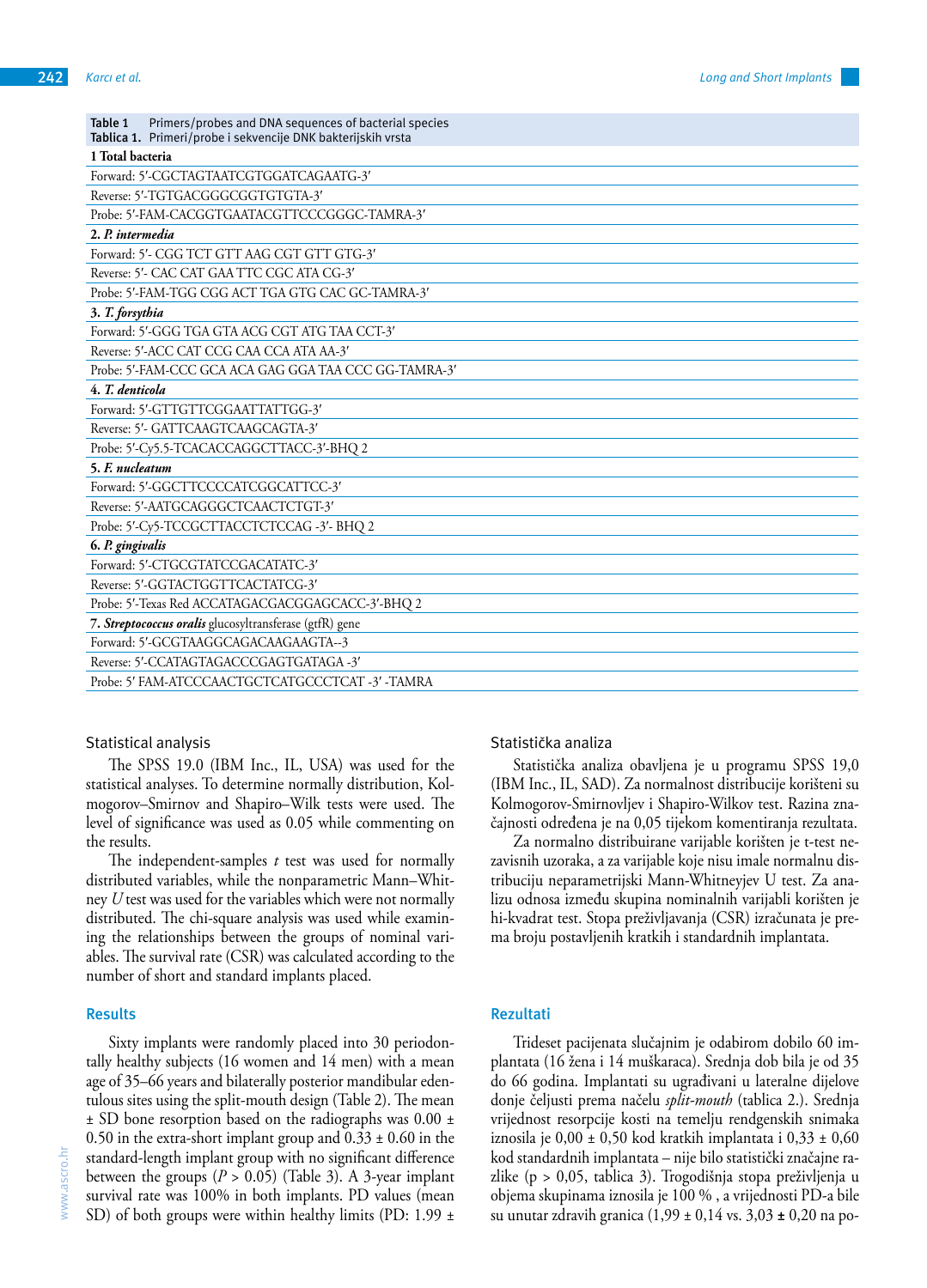| Primers/probes and DNA sequences of bacterial species<br>Table 1<br>Tablica 1. Primeri/probe i sekvencije DNK bakterijskih vrsta |
|----------------------------------------------------------------------------------------------------------------------------------|
| 1 Total bacteria                                                                                                                 |
| Forward: 5'-CGCTAGTAATCGTGGATCAGAATG-3'                                                                                          |
| Reverse: 5'-TGTGACGGGCGGTGTGTA-3'                                                                                                |
| Probe: 5'-FAM-CACGGTGAATACGTTCCCGGGC-TAMRA-3'                                                                                    |
| 2. P. intermedia                                                                                                                 |
| Forward: 5'- CGG TCT GTT AAG CGT GTT GTG-3'                                                                                      |
| Reverse: 5'- CAC CAT GAA TTC CGC ATA CG-3'                                                                                       |
| Probe: 5'-FAM-TGG CGG ACT TGA GTG CAC GC-TAMRA-3'                                                                                |
| 3. T. forsythia                                                                                                                  |
| Forward: 5'-GGG TGA GTA ACG CGT ATG TAA CCT-3'                                                                                   |
| Reverse: 5'-ACC CAT CCG CAA CCA ATA AA-3'                                                                                        |
| Probe: 5'-FAM-CCC GCA ACA GAG GGA TAA CCC GG-TAMRA-3'                                                                            |
| 4. T. denticola                                                                                                                  |
| Forward: 5'-GTTGTTCGGAATTATTGG-3'                                                                                                |
| Reverse: 5'- GATTCAAGTCAAGCAGTA-3'                                                                                               |
| Probe: 5'-Cy5.5-TCACACCAGGCTTACC-3'-BHQ 2                                                                                        |
| 5. F. nucleatum                                                                                                                  |
| Forward: 5'-GGCTTCCCCATCGGCATTCC-3'                                                                                              |
| Reverse: 5'-AATGCAGGGCTCAACTCTGT-3'                                                                                              |
| Probe: 5'-Cy5-TCCGCTTACCTCTCCAG -3'- BHQ 2                                                                                       |
| 6. P. gingivalis                                                                                                                 |
| Forward: 5'-CTGCGTATCCGACATATC-3'                                                                                                |
| Reverse: 5'-GGTACTGGTTCACTATCG-3'                                                                                                |
| Probe: 5'-Texas Red ACCATAGACGACGGAGCACC-3'-BHQ 2                                                                                |
| 7. Streptococcus oralis glucosyltransferase (gtfR) gene                                                                          |
| Forward: 5'-GCGTAAGGCAGACAAGAAGTA--3                                                                                             |
| Reverse: 5'-CCATAGTAGACCCGAGTGATAGA -3'                                                                                          |
| Probe: 5' FAM-ATCCCAACTGCTCATGCCCTCAT -3' -TAMRA                                                                                 |

#### Statistical analysis

The SPSS 19.0 (IBM Inc., IL, USA) was used for the statistical analyses. To determine normally distribution, Kolmogorov–Smirnov and Shapiro–Wilk tests were used. The level of significance was used as 0.05 while commenting on the results.

The independent-samples *t* test was used for normally distributed variables, while the nonparametric Mann–Whitney *U* test was used for the variables which were not normally distributed. The chi-square analysis was used while examining the relationships between the groups of nominal variables. The survival rate (CSR) was calculated according to the number of short and standard implants placed.

#### **Results**

Sixty implants were randomly placed into 30 periodontally healthy subjects (16 women and 14 men) with a mean age of 35–66 years and bilaterally posterior mandibular edentulous sites using the split-mouth design (Table 2). The mean ± SD bone resorption based on the radiographs was 0.00 ± 0.50 in the extra-short implant group and  $0.33 \pm 0.60$  in the standard-length implant group with no significant difference between the groups  $(P > 0.05)$  (Table 3). A 3-year implant survival rate was 100% in both implants. PD values (mean SD) of both groups were within healthy limits (PD: 1.99  $\pm$  Statistička analiza

Statistička analiza obavljena je u programu SPSS 19,0 (IBM Inc., IL, SAD). Za normalnost distribucije korišteni su Kolmogorov-Smirnovljev i Shapiro-Wilkov test. Razina značajnosti određena je na 0,05 tijekom komentiranja rezultata.

Za normalno distribuirane varijable korišten je t-test nezavisnih uzoraka, a za varijable koje nisu imale normalnu distribuciju neparametrijski Mann-Whitneyjev U test. Za analizu odnosa između skupina nominalnih varijabli korišten je hi-kvadrat test. Stopa preživljavanja (CSR) izračunata je prema broju postavljenih kratkih i standardnih implantata.

### **Rezultati**

Trideset pacijenata slučajnim je odabirom dobilo 60 implantata (16 žena i 14 muškaraca). Srednja dob bila je od 35 do 66 godina. Implantati su ugrađivani u lateralne dijelove donje čeljusti prema načelu *split-mouth* (tablica 2.). Srednja vrijednost resorpcije kosti na temelju rendgenskih snimaka iznosila je  $0,00 \pm 0,50$  kod kratkih implantata i  $0,33 \pm 0,60$ kod standardnih implantata – nije bilo statistički značajne razlike (p > 0,05, tablica 3). Trogodišnja stopa preživljenja u objema skupinama iznosila je 100 % , a vrijednosti PD-a bile su unutar zdravih granica (1,99 ± 0,14 vs. 3,03 **±** 0,20 na po-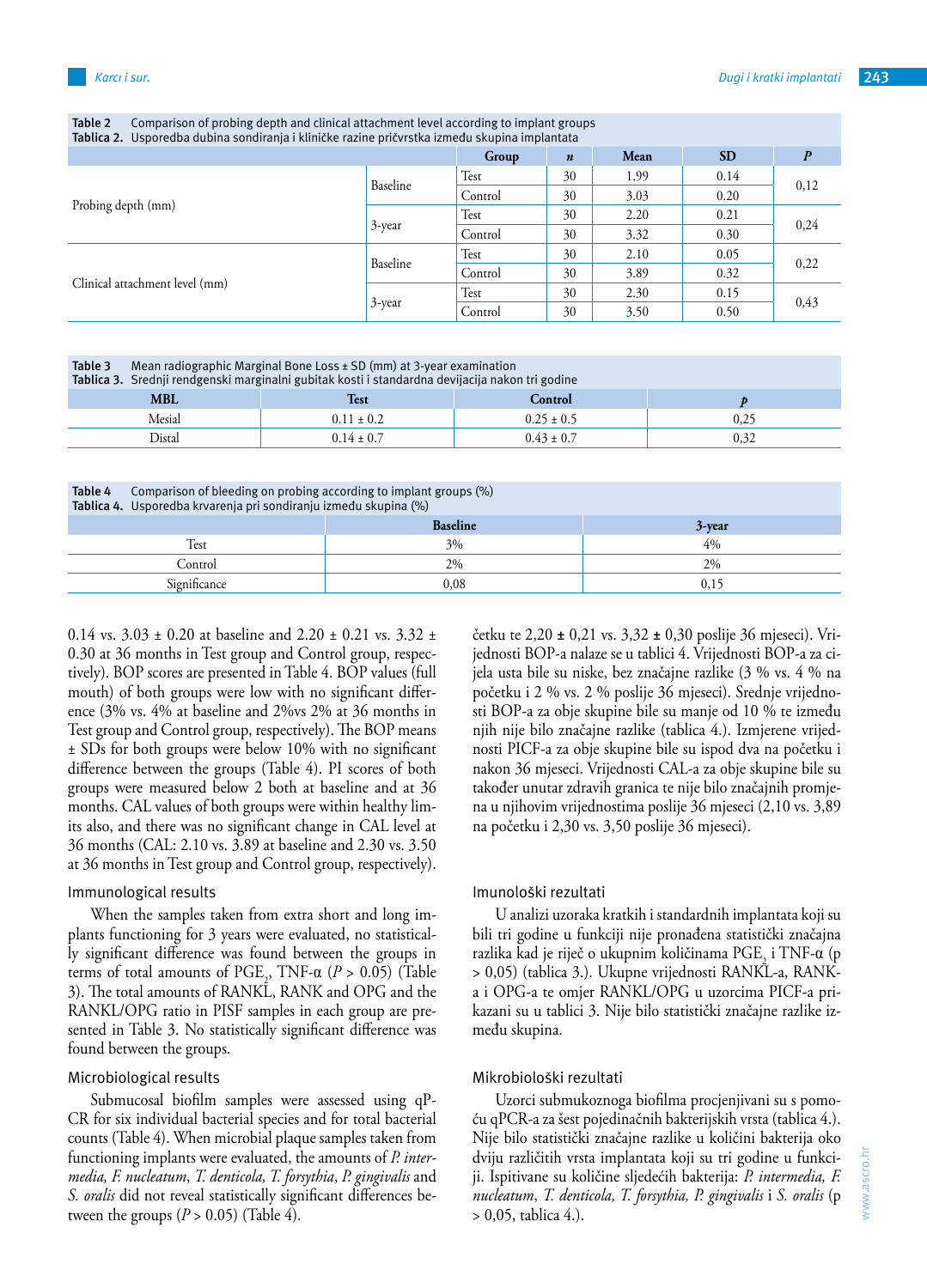| Tablica 2. Usporedba dubina sondiranja i kliničke razine pričvrstka između skupina implantata |          |         |                  |      |           |      |
|-----------------------------------------------------------------------------------------------|----------|---------|------------------|------|-----------|------|
|                                                                                               |          | Group   | $\boldsymbol{n}$ | Mean | <b>SD</b> |      |
| Probing depth (mm)                                                                            | Baseline | Test    | 30               | 1.99 | 0.14      | 0,12 |
|                                                                                               |          | Control | 30               | 3.03 | 0.20      |      |
|                                                                                               | 3-year   | Test    | 30               | 2.20 | 0.21      | 0,24 |
|                                                                                               |          | Control | 30               | 3.32 | 0.30      |      |
|                                                                                               | Baseline | Test    | 30               | 2.10 | 0.05      | 0,22 |
| Clinical attachment level (mm)                                                                |          | Control | 30               | 3.89 | 0.32      |      |
|                                                                                               | 3-year   | Test    | 30               | 2.30 | 0.15      | 0,43 |
|                                                                                               |          | Control | 30               | 3.50 | 0.50      |      |

**Table 2** Comparison of probing depth and clinical attachment level according to implant groups

**Table 3** Mean radiographic Marginal Bone Loss ± SD (mm) at 3-year examination

| Tablica 3. Srednji rendgenski marginalni gubitak kosti i standardna devijacija nakon tri godine |                |                |      |  |  |  |
|-------------------------------------------------------------------------------------------------|----------------|----------------|------|--|--|--|
| <b>MBL</b>                                                                                      | Test           | <b>Control</b> |      |  |  |  |
| Mesial                                                                                          | $0.11 \pm 0.2$ | $0.25 \pm 0.5$ | U.Z. |  |  |  |
| Distal                                                                                          | $0.14 \pm 0.7$ | $0.43 \pm 0.7$ |      |  |  |  |

**Table 4** Comparison of bleeding on probing according to implant groups (%) **Tablica 4.** Usporedba krvarenja pri sondiranju između skupina (%)

| <b>Rabiica 4.</b> Osporcuba Krvarchja pri sonunanju izničuu skupnia (70) |                 |        |  |  |  |
|--------------------------------------------------------------------------|-----------------|--------|--|--|--|
|                                                                          | <b>Baseline</b> | 3-year |  |  |  |
| Test                                                                     | 3%              | 4%     |  |  |  |
| Control                                                                  | 2%              | 2%     |  |  |  |
| Significance                                                             | $_{0,08}$       | U, L.  |  |  |  |

0.14 vs.  $3.03 \pm 0.20$  at baseline and  $2.20 \pm 0.21$  vs.  $3.32 \pm 0.21$ 0.30 at 36 months in Test group and Control group, respectively). BOP scores are presented in Table 4. BOP values (full mouth) of both groups were low with no significant difference (3% vs. 4% at baseline and 2%vs 2% at 36 months in Test group and Control group, respectively). The BOP means ± SDs for both groups were below 10% with no significant difference between the groups (Table 4). PI scores of both groups were measured below 2 both at baseline and at 36 months. CAL values of both groups were within healthy limits also, and there was no significant change in CAL level at 36 months (CAL: 2.10 vs. 3.89 at baseline and 2.30 vs. 3.50 at 36 months in Test group and Control group, respectively).

#### Immunological results

When the samples taken from extra short and long implants functioning for 3 years were evaluated, no statistically significant difference was found between the groups in terms of total amounts of  $PGE_2$ ,  $TNF-\alpha$  ( $P > 0.05$ ) (Table 3). The total amounts of RANKL, RANK and OPG and the RANKL/OPG ratio in PISF samples in each group are presented in Table 3. No statistically significant difference was found between the groups.

### Microbiological results

Submucosal biofilm samples were assessed using qP-CR for six individual bacterial species and for total bacterial counts (Table 4). When microbial plaque samples taken from functioning implants were evaluated, the amounts of *P. intermedia, F. nucleatum*, *T. denticola, T. forsythia*, *P. gingivalis* and *S. oralis* did not reveal statistically significant differences between the groups  $(P > 0.05)$  (Table 4).

četku te 2,20 **±** 0,21 vs. 3,32 **±** 0,30 poslije 36 mjeseci). Vrijednosti BOP-a nalaze se u tablici 4. Vrijednosti BOP-a za cijela usta bile su niske, bez značajne razlike (3 % vs. 4 % na početku i 2 % vs. 2 % poslije 36 mjeseci). Srednje vrijednosti BOP-a za obje skupine bile su manje od 10 % te između njih nije bilo značajne razlike (tablica 4.). Izmjerene vrijednosti PICF-a za obje skupine bile su ispod dva na početku i nakon 36 mjeseci. Vrijednosti CAL-a za obje skupine bile su također unutar zdravih granica te nije bilo značajnih promjena u njihovim vrijednostima poslije 36 mjeseci (2,10 vs. 3,89 na početku i 2,30 vs. 3,50 poslije 36 mjeseci).

#### Imunološki rezultati

U analizi uzoraka kratkih i standardnih implantata koji su bili tri godine u funkciji nije pronađena statistički značajna razlika kad je riječ o ukupnim količinama PGE<sub>2</sub> i TNF-α (p > 0,05) (tablica 3.). Ukupne vrijednosti RANKL-a, RANKa i OPG-a te omjer RANKL/OPG u uzorcima PICF-a prikazani su u tablici 3. Nije bilo statistički značajne razlike između skupina.

### Mikrobiološki rezultati

Uzorci submukoznoga biofilma procjenjivani su s pomoću qPCR-a za šest pojedinačnih bakterijskih vrsta (tablica 4.). Nije bilo statistički značajne razlike u količini bakterija oko dviju različitih vrsta implantata koji su tri godine u funkciji. Ispitivane su količine sljedećih bakterija: *P. intermedia, F. nucleatum*, *T. denticola, T. forsythia, P. gingivalis* i *S. oralis* (p > 0,05, tablica 4.).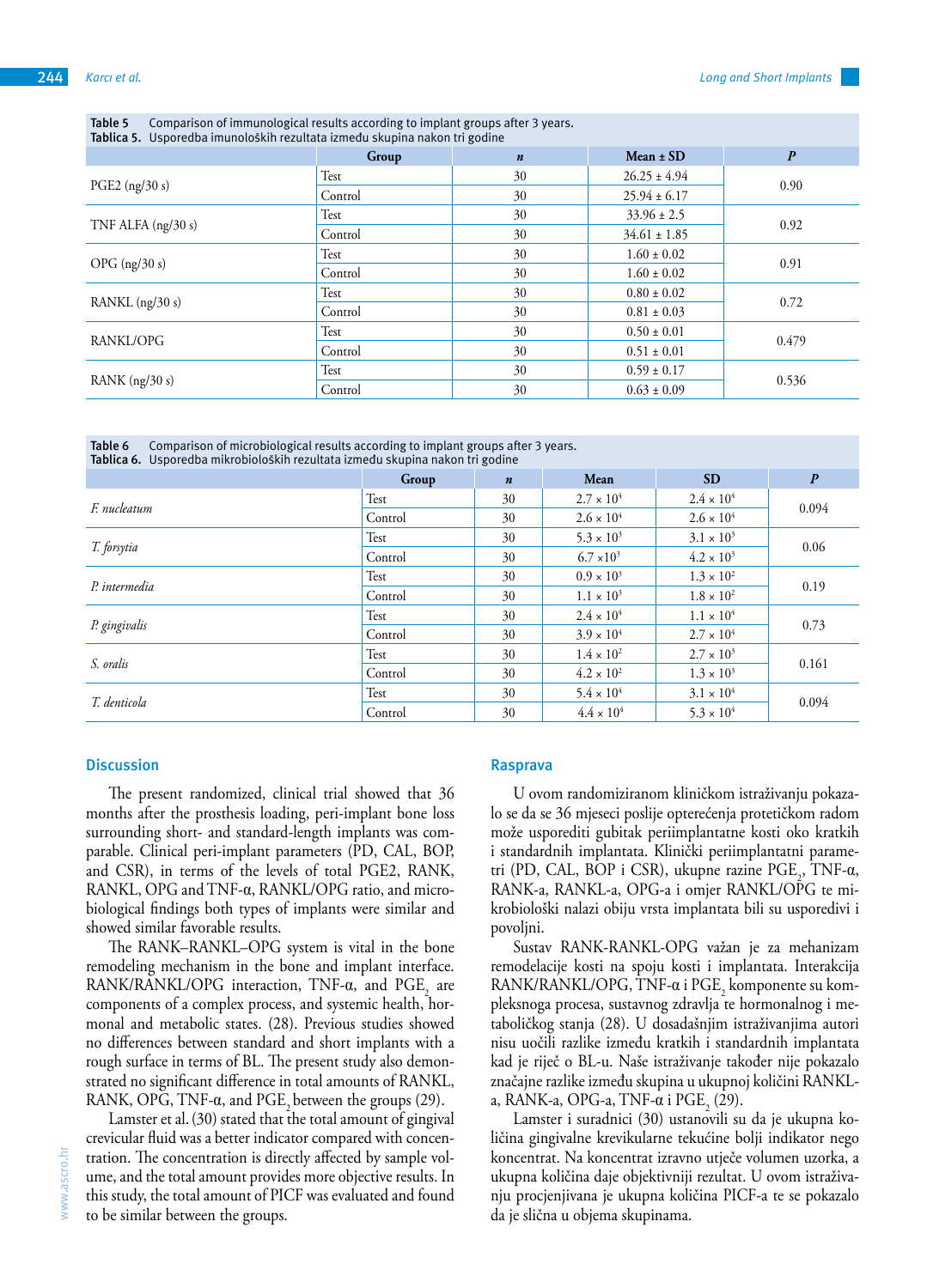| Tablica 5. Usporedba imunoloških rezultata između skupina nakon tri godine |         |                  |                  |                  |  |  |
|----------------------------------------------------------------------------|---------|------------------|------------------|------------------|--|--|
|                                                                            | Group   | $\boldsymbol{n}$ | Mean $\pm$ SD    | $\boldsymbol{P}$ |  |  |
| PGE2 $(ng/30 s)$                                                           | Test    | 30               | $26.25 \pm 4.94$ | 0.90             |  |  |
|                                                                            | Control | 30               | $25.94 \pm 6.17$ |                  |  |  |
| TNF ALFA $(ng/30s)$                                                        | Test    | 30               | $33.96 \pm 2.5$  | 0.92             |  |  |
|                                                                            | Control | 30               | $34.61 \pm 1.85$ |                  |  |  |
| OPG $(ng/30 s)$                                                            | Test    | 30               | $1.60 \pm 0.02$  | 0.91             |  |  |
|                                                                            | Control | 30               | $1.60 \pm 0.02$  |                  |  |  |
| RANKL $(ng/30 s)$                                                          | Test    | 30               | $0.80 \pm 0.02$  | 0.72             |  |  |
|                                                                            | Control | 30               | $0.81 \pm 0.03$  |                  |  |  |
| RANKL/OPG                                                                  | Test    | 30               | $0.50 \pm 0.01$  | 0.479            |  |  |
|                                                                            | Control | 30               | $0.51 \pm 0.01$  |                  |  |  |
| RANK $(ng/30 s)$                                                           | Test    | 30               | $0.59 \pm 0.17$  | 0.536            |  |  |
|                                                                            | Control | 30               | $0.63 \pm 0.09$  |                  |  |  |

**Table 5** Comparison of immunological results according to implant groups after 3 years.

**Table 6** Comparison of microbiological results according to implant groups after 3 years. **Tablica 6.** Usporedba mikrobioloških rezultata između skupina nakon tri godine

|               | Group   | $\boldsymbol{n}$ | Mean                | <b>SD</b>           | $\boldsymbol{P}$ |
|---------------|---------|------------------|---------------------|---------------------|------------------|
| F. nucleatum  | Test    | 30               | $2.7 \times 10^{4}$ | $2.4 \times 10^{4}$ | 0.094            |
|               | Control | 30               | $2.6 \times 10^{4}$ | $2.6 \times 10^{4}$ |                  |
| T. forsytia   | Test    | 30               | $5.3 \times 10^{3}$ | $3.1 \times 10^{3}$ | 0.06             |
|               | Control | 30               | $6.7 \times 10^{3}$ | $4.2 \times 10^{3}$ |                  |
| P. intermedia | Test    | 30               | $0.9 \times 10^{3}$ | $1.3 \times 10^{2}$ | 0.19             |
|               | Control | 30               | $1.1 \times 10^{3}$ | $1.8 \times 10^{2}$ |                  |
| P. gingivalis | Test    | 30               | $2.4 \times 10^{4}$ | $1.1 \times 10^{4}$ | 0.73             |
|               | Control | 30               | $3.9 \times 10^{4}$ | $2.7 \times 10^{4}$ |                  |
| S. oralis     | Test    | 30               | $1.4 \times 10^{2}$ | $2.7 \times 10^{3}$ | 0.161            |
|               | Control | 30               | $4.2 \times 10^{2}$ | $1.3 \times 10^{3}$ |                  |
| T. denticola  | Test    | 30               | $5.4 \times 10^{4}$ | $3.1 \times 10^{4}$ |                  |
|               | Control | 30               | $4.4 \times 10^{4}$ | $5.3 \times 10^{4}$ | 0.094            |

### **Discussion**

The present randomized, clinical trial showed that 36 months after the prosthesis loading, peri-implant bone loss surrounding short- and standard-length implants was comparable. Clinical peri-implant parameters (PD, CAL, BOP, and CSR), in terms of the levels of total PGE2, RANK, RANKL, OPG and TNF-α, RANKL/OPG ratio, and microbiological findings both types of implants were similar and showed similar favorable results.

The RANK–RANKL–OPG system is vital in the bone remodeling mechanism in the bone and implant interface. RANK/RANKL/OPG interaction, TNF- $\alpha$ , and PGE<sub>2</sub> are components of a complex process, and systemic health, hormonal and metabolic states. (28). Previous studies showed no differences between standard and short implants with a rough surface in terms of BL. The present study also demonstrated no significant difference in total amounts of RANKL, RANK, OPG, TNF- $\alpha$ , and PGE, between the groups (29).

Lamster et al.(30) stated that the total amount of gingival crevicular fluid was a better indicator compared with concentration. The concentration is directly affected by sample volume, and the total amount provides more objective results. In this study, the total amount of PICF was evaluated and found to be similar between the groups.

#### **Rasprava**

U ovom randomiziranom kliničkom istraživanju pokazalo se da se 36 mjeseci poslije opterećenja protetičkom radom može usporediti gubitak periimplantatne kosti oko kratkih i standardnih implantata. Klinički periimplantatni parametri (PD, CAL, BOP i CSR), ukupne razine PGE<sub>2</sub>, TNF-α, RANK-a, RANKL-a, OPG-a i omjer RANKL/OPG te mikrobiološki nalazi obiju vrsta implantata bili su usporedivi i povoljni.

Sustav RANK-RANKL-OPG važan je za mehanizam remodelacije kosti na spoju kosti i implantata. Interakcija  $\text{RANK/RANKL/OPG}, \text{TNF-}\alpha \text{ i } \text{PGE}_2 \text{ komponente su kom-}$ pleksnoga procesa, sustavnog zdravlja te hormonalnog i metaboličkog stanja (28). U dosadašnjim istraživanjima autori nisu uočili razlike između kratkih i standardnih implantata kad je riječ o BL-u. Naše istraživanje također nije pokazalo značajne razlike između skupina u ukupnoj količini RANKLa, RANK-a, OPG-a, TNF- $\alpha$  i PGE<sub>2</sub> (29).

Lamster i suradnici (30) ustanovili su da je ukupna količina gingivalne krevikularne tekućine bolji indikator nego koncentrat. Na koncentrat izravno utječe volumen uzorka, a ukupna količina daje objektivniji rezultat. U ovom istraživanju procjenjivana je ukupna količina PICF-a te se pokazalo da je slična u objema skupinama.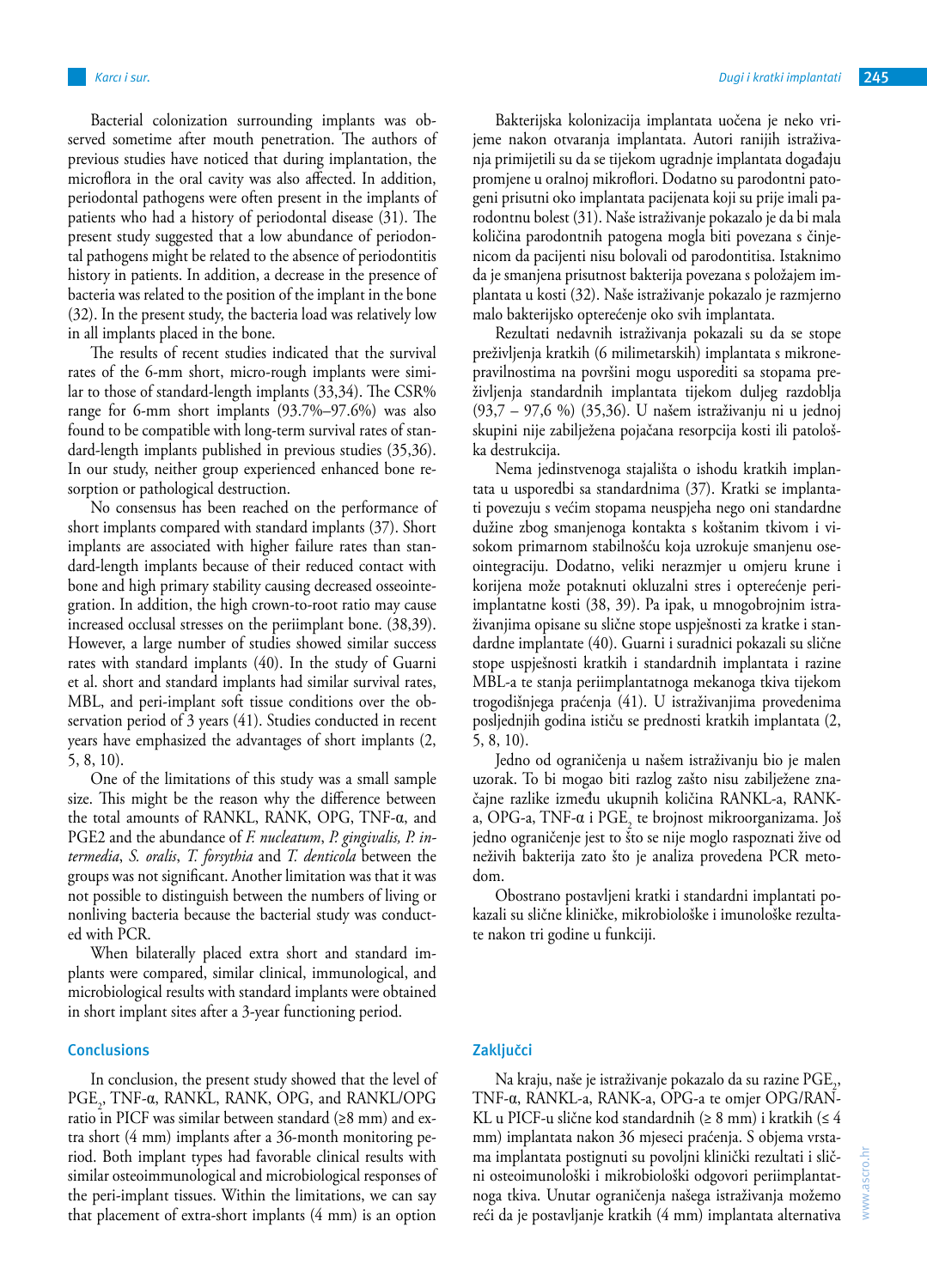Bacterial colonization surrounding implants was observed sometime after mouth penetration. The authors of previous studies have noticed that during implantation, the microflora in the oral cavity was also affected. In addition, periodontal pathogens were often present in the implants of patients who had a history of periodontal disease (31). The present study suggested that a low abundance of periodontal pathogens might be related to the absence of periodontitis history in patients. In addition, a decrease in the presence of bacteria was related to the position of the implant in the bone (32). In the present study, the bacteria load was relatively low in all implants placed in the bone.

The results of recent studies indicated that the survival rates of the 6-mm short, micro-rough implants were similar to those of standard-length implants (33,34). The CSR% range for 6-mm short implants (93.7%–97.6%) was also found to be compatible with long-term survival rates of standard-length implants published in previous studies (35,36). In our study, neither group experienced enhanced bone resorption or pathological destruction.

No consensus has been reached on the performance of short implants compared with standard implants (37). Short implants are associated with higher failure rates than standard-length implants because of their reduced contact with bone and high primary stability causing decreased osseointegration. In addition, the high crown-to-root ratio may cause increased occlusal stresses on the periimplant bone. (38,39). However, a large number of studies showed similar success rates with standard implants (40). In the study of Guarni et al. short and standard implants had similar survival rates, MBL, and peri-implant soft tissue conditions over the observation period of 3 years (41). Studies conducted in recent years have emphasized the advantages of short implants (2, 5, 8, 10).

One of the limitations of this study was a small sample size. This might be the reason why the difference between the total amounts of RANKL, RANK, OPG, TNF-α, and PGE2 and the abundance of *F. nucleatum*, *P. gingivalis, P. intermedia*, *S. oralis*, *T. forsythia* and *T. denticola* between the groups was not significant. Another limitation was that it was not possible to distinguish between the numbers of living or nonliving bacteria because the bacterial study was conducted with PCR.

When bilaterally placed extra short and standard implants were compared, similar clinical, immunological, and microbiological results with standard implants were obtained in short implant sites after a 3-year functioning period.

#### **Conclusions**

In conclusion, the present study showed that the level of PGE<sub>2</sub>, TNF-α, RANKL, RANK, OPG, and RANKL/OPG ratio in PICF was similar between standard (≥8 mm) and extra short (4 mm) implants after a 36-month monitoring period. Both implant types had favorable clinical results with similar osteoimmunological and microbiological responses of the peri-implant tissues. Within the limitations, we can say that placement of extra-short implants (4 mm) is an option

Bakterijska kolonizacija implantata uočena je neko vrijeme nakon otvaranja implantata. Autori ranijih istraživanja primijetili su da se tijekom ugradnje implantata događaju promjene u oralnoj mikroflori. Dodatno su parodontni patogeni prisutni oko implantata pacijenata koji su prije imali parodontnu bolest (31). Naše istraživanje pokazalo je da bi mala količina parodontnih patogena mogla biti povezana s činjenicom da pacijenti nisu bolovali od parodontitisa. Istaknimo da je smanjena prisutnost bakterija povezana s položajem implantata u kosti (32). Naše istraživanje pokazalo je razmjerno malo bakterijsko opterećenje oko svih implantata.

Rezultati nedavnih istraživanja pokazali su da se stope preživljenja kratkih (6 milimetarskih) implantata s mikronepravilnostima na površini mogu usporediti sa stopama preživljenja standardnih implantata tijekom duljeg razdoblja (93,7 – 97,6 %) (35,36). U našem istraživanju ni u jednoj skupini nije zabilježena pojačana resorpcija kosti ili patološka destrukcija.

Nema jedinstvenoga stajališta o ishodu kratkih implantata u usporedbi sa standardnima (37). Kratki se implantati povezuju s većim stopama neuspjeha nego oni standardne dužine zbog smanjenoga kontakta s koštanim tkivom i visokom primarnom stabilnošću koja uzrokuje smanjenu oseointegraciju. Dodatno, veliki nerazmjer u omjeru krune i korijena može potaknuti okluzalni stres i opterećenje periimplantatne kosti (38, 39). Pa ipak, u mnogobrojnim istraživanjima opisane su slične stope uspješnosti za kratke i standardne implantate (40). Guarni i suradnici pokazali su slične stope uspješnosti kratkih i standardnih implantata i razine MBL-a te stanja periimplantatnoga mekanoga tkiva tijekom trogodišnjega praćenja (41). U istraživanjima provedenima posljednjih godina ističu se prednosti kratkih implantata (2, 5, 8, 10).

Jedno od ograničenja u našem istraživanju bio je malen uzorak. To bi mogao biti razlog zašto nisu zabilježene značajne razlike između ukupnih količina RANKL-a, RANKa, OPG-a, TNF-α i PGE<sub>2</sub> te brojnost mikroorganizama. Još jedno ograničenje jest to što se nije moglo raspoznati žive od neživih bakterija zato što je analiza provedena PCR metodom.

Obostrano postavljeni kratki i standardni implantati pokazali su slične kliničke, mikrobiološke i imunološke rezultate nakon tri godine u funkciji.

# **Zaključci**

Na kraju, naše je istraživanje pokazalo da su razine  $\textrm{PGE}_{2}$ , TNF-α, RANKL-a, RANK-a, OPG-a te omjer OPG/RAN-KL u PICF-u slične kod standardnih (≥ 8 mm) i kratkih (≤ 4 mm) implantata nakon 36 mjeseci praćenja. S objema vrstama implantata postignuti su povoljni klinički rezultati i slični osteoimunološki i mikrobiološki odgovori periimplantatnoga tkiva. Unutar ograničenja našega istraživanja možemo reći da je postavljanje kratkih (4 mm) implantata alternativa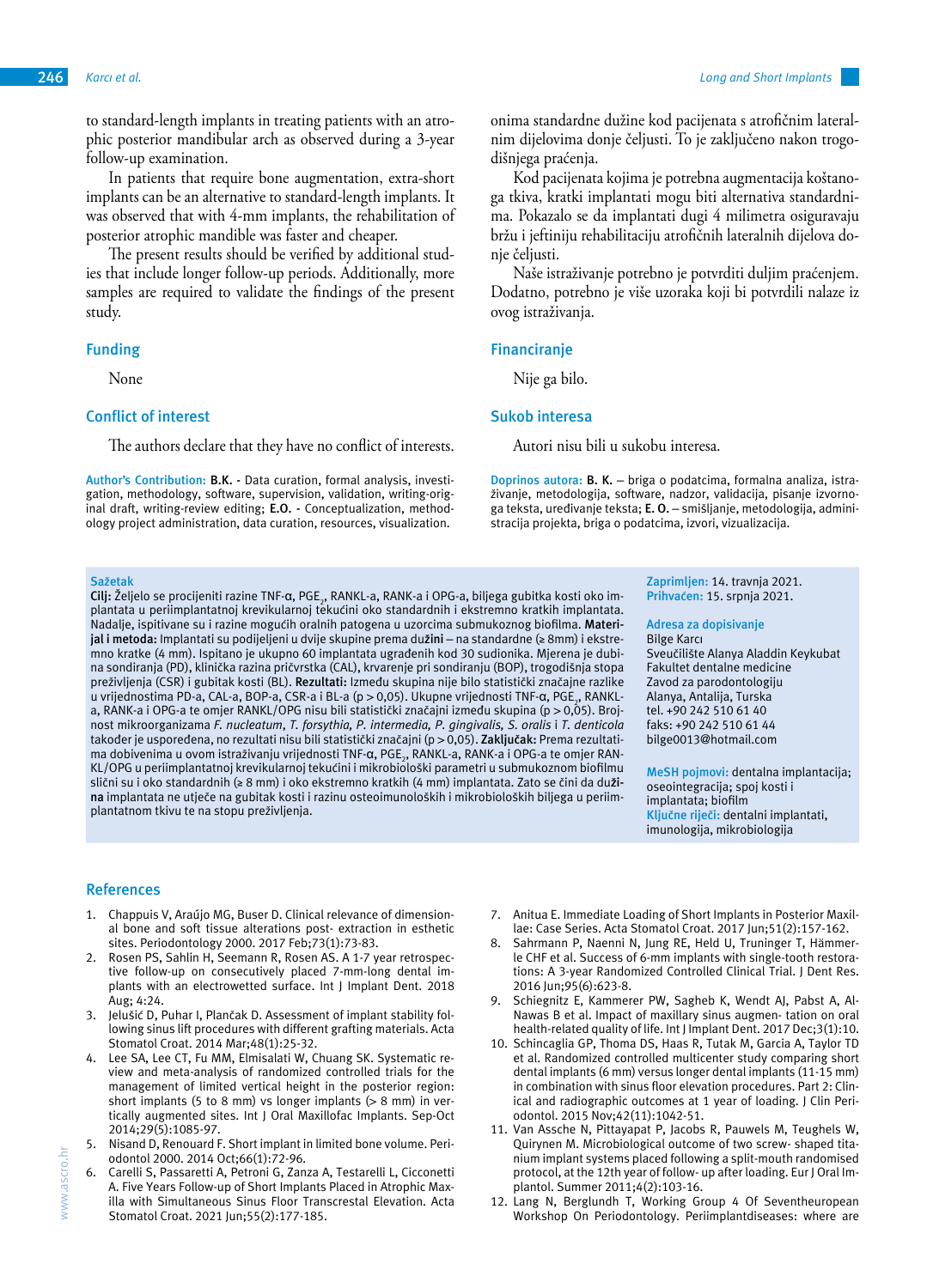to standard-length implants in treating patients with an atrophic posterior mandibular arch as observed during a 3-year follow-up examination.

In patients that require bone augmentation, extra-short implants can be an alternative to standard-length implants. It was observed that with 4-mm implants, the rehabilitation of posterior atrophic mandible was faster and cheaper.

The present results should be verified by additional studies that include longer follow-up periods. Additionally, more samples are required to validate the findings of the present study.

#### **Funding**

None

#### **Conflict of interest**

The authors declare that they have no conflict of interests.

**Author's Contribution: B.K. -** Data curation, formal analysis, investigation, methodology, software, supervision, validation, writing-original draft, writing-review editing; **E.O. -** Conceptualization, methodology project administration, data curation, resources, visualization.

#### **Sažetak**

**Cilj:** Željelo se procijeniti razine TNF-α, PGE<sub>2</sub>, RANKL-a, RANK-a i OPG-a, biljega gubitka kosti oko implantata u periimplantatnoj krevikularnoj tekućini oko standardnih i ekstremno kratkih implantata. Nadalje, ispitivane su i razine mogućih oralnih patogena u uzorcima submukoznog biofilma. **Materijal i metoda:** Implantati su podijeljeni u dvije skupine prema du**žini** – na standardne (≥ 8mm) i ekstremno kratke (4 mm). Ispitano je ukupno 60 implantata ugrađenih kod 30 sudionika. Mjerena je dubina sondiranja (PD), klinička razina pričvrstka (CAL), krvarenje pri sondiranju (BOP), trogodišnja stopa preživljenja (CSR) i gubitak kosti (BL). **Rezultati:** Između skupina nije bilo statistički značajne razlike u vrijednostima PD-a, CAL-a, BOP-a, CSR-a i BL-a (p > 0,05). Ukupne vrijednosti TNF-α, PGE<sub>2</sub>, RANKLa, RANK-a i OPG-a te omjer RANKL/OPG nisu bili statistički značajni između skupina (p > 0,05). Brojnost mikroorganizama *F. nucleatum*, *T. forsythia, P. intermedia, P. gingivalis, S. oralis* i *T. denticola* također je uspoređena, no rezultati nisu bili statistički značajni (p > 0,05). **Zaključak:** Prema rezultatima dobivenima u ovom istraživanju vrijednosti TNF-α, PGE<sub>2</sub>, RANKL-a, RANK-a i OPG-a te omjer RAN-KL/OPG u periimplantatnoj krevikularnoj tekućini i mikrobiološki parametri u submukoznom biofilmu slični su i oko standardnih (≥ 8 mm) i oko ekstremno kratkih (4 mm) implantata. Zato se čini da du**žina** implantata ne utječe na gubitak kosti i razinu osteoimunoloških i mikrobioloških biljega u periimplantatnom tkivu te na stopu preživljenja.

#### **References**

- 1. Chappuis V, Araújo MG, Buser D. Clinical relevance of dimensional bone and soft tissue alterations post- extraction in esthetic sites. Periodontology 2000. 2017 Feb;73(1):73-83.
- Rosen PS, Sahlin H, Seemann R, Rosen AS. A 1-7 year retrospective follow-up on consecutively placed 7-mm-long dental implants with an electrowetted surface. Int J Implant Dent. 2018 Aug; 4:24.
- 3. Jelušić D, Puhar I, Plančak D. Assessment of implant stability following sinus lift procedures with different grafting materials. Acta Stomatol Croat. 2014 Mar;48(1):25-32.
- 4. Lee SA, Lee CT, Fu MM, Elmisalati W, Chuang SK. Systematic review and meta-analysis of randomized controlled trials for the management of limited vertical height in the posterior region: short implants (5 to 8 mm) vs longer implants ( $> 8$  mm) in vertically augmented sites. Int J Oral Maxillofac Implants. Sep-Oct 2014;29(5):1085-97.
- 5. Nisand D, Renouard F. Short implant in limited bone volume. Periodontol 2000. 2014 Oct;66(1):72-96.
- 6. Carelli S, Passaretti A, Petroni G, Zanza A, Testarelli L, Cicconetti A. Five Years Follow-up of Short Implants Placed in Atrophic Maxilla with Simultaneous Sinus Floor Transcrestal Elevation. Acta Stomatol Croat. 2021 Jun;55(2):177-185.

onima standardne dužine kod pacijenata s atrofičnim lateralnim dijelovima donje čeljusti. To je zaključeno nakon trogodišnjega praćenja.

Kod pacijenata kojima je potrebna augmentacija koštanoga tkiva, kratki implantati mogu biti alternativa standardnima. Pokazalo se da implantati dugi 4 milimetra osiguravaju bržu i jeftiniju rehabilitaciju atrofičnih lateralnih dijelova donje čeljusti.

Naše istraživanje potrebno je potvrditi duljim praćenjem. Dodatno, potrebno je više uzoraka koji bi potvrdili nalaze iz ovog istraživanja.

#### **Financiranje**

Nije ga bilo.

#### **Sukob interesa**

Autori nisu bili u sukobu interesa.

**Doprinos autora: B. K.** – briga o podatcima, formalna analiza, istraživanje, metodologija, software, nadzor, validacija, pisanje izvornoga teksta, uređivanje teksta; **E. O.** – smišljanje, metodologija, administracija projekta, briga o podatcima, izvori, vizualizacija.

> **Zaprimljen:** 14. travnja 2021. **Prihvaćen:** 15. srpnja 2021.

#### **Adresa za dopisivanje** Bilge Karcı

Sveučilište Alanya Aladdin Keykubat Fakultet dentalne medicine Zavod za parodontologiju Alanya, Antalija, Turska tel. +90 242 510 61 40 faks: +90 242 510 61 44 bilge0013@hotmail.com

**MeSH pojmovi:** dentalna implantacija; oseointegracija; spoj kosti i implantata; biofilm **Ključne riječi:** dentalni implantati, imunologija, mikrobiologija

- 7. Anitua E. Immediate Loading of Short Implants in Posterior Maxillae: Case Series. Acta Stomatol Croat. 2017 Jun;51(2):157-162.
- 8. Sahrmann P, Naenni N, Jung RE, Held U, Truninger T, Hämmerle CHF et al. Success of 6-mm implants with single-tooth restorations: A 3-year Randomized Controlled Clinical Trial. J Dent Res. 2016 Jun;95(6):623-8.
- Schiegnitz E, Kammerer PW, Sagheb K, Wendt AJ, Pabst A, Al-Nawas B et al. Impact of maxillary sinus augmen- tation on oral health-related quality of life. Int J Implant Dent. 2017 Dec;3(1):10.
- 10. Schincaglia GP, Thoma DS, Haas R, Tutak M, Garcia A, Taylor TD et al. Randomized controlled multicenter study comparing short dental implants (6 mm) versus longer dental implants (11-15 mm) in combination with sinus floor elevation procedures. Part 2: Clinical and radiographic outcomes at 1 year of loading. J Clin Periodontol. 2015 Nov;42(11):1042-51.
- 11. Van Assche N, Pittayapat P, Jacobs R, Pauwels M, Teughels W, Quirynen M. Microbiological outcome of two screw- shaped titanium implant systems placed following a split-mouth randomised protocol, at the 12th year of follow- up after loading. Eur J Oral Implantol. Summer 2011;4(2):103-16.
- 12. Lang N, Berglundh T, Working Group 4 Of Seventheuropean Workshop On Periodontology. Periimplantdiseases: where are